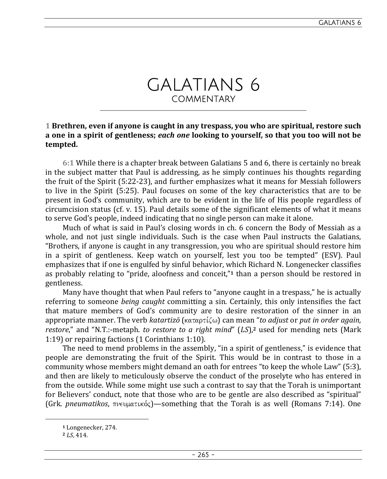# GALATIANS 6 **COMMENTARY**

\_\_\_\_\_\_\_\_\_\_\_\_\_\_\_\_\_\_\_\_\_\_\_\_\_\_\_\_\_\_\_\_\_\_\_\_\_\_\_\_\_\_\_\_\_\_\_\_\_\_\_\_\_\_\_\_\_\_\_\_\_\_\_\_

# **1 Brethren, even if anyone is caught in any trespass, you who are spiritual, restore such a one in a spirit of gentleness;** *each one* **looking to yourself, so that you too will not be tempted.**

**6:1** While there is a chapter break between Galatians 5 and 6, there is certainly no break in the subject matter that Paul is addressing, as he simply continues his thoughts regarding the fruit of the Spirit (5:22-23), and further emphasizes what it means for Messiah followers to live in the Spirit (5:25). Paul focuses on some of the key characteristics that are to be present in God's community, which are to be evident in the life of His people regardless of circumcision status (cf. v. 15). Paul details some of the significant elements of what it means to serve God's people, indeed indicating that no single person can make it alone.

Much of what is said in Paul's closing words in ch. 6 concern the Body of Messiah as a whole, and not just single individuals. Such is the case when Paul instructs the Galatians, "Brothers, if anyone is caught in any transgression, you who are spiritual should restore him in a spirit of gentleness. Keep watch on yourself, lest you too be tempted" (ESV). Paul emphasizes that if one is engulfed by sinful behavior, which Richard N. Longenecker classifies as probably relating to "pride, aloofness and conceit,"**1** than a person should be restored in gentleness.

Many have thought that when Paul refers to "anyone caught in a trespass," he is actually referring to someone *being caught* committing a sin. Certainly, this only intensifies the fact that mature members of God's community are to desire restoration of the sinner in an appropriate manner. The verb *katartizō* (καταρτίζω) can mean "*to adjust* or *put in order again, restore*," and "N.T.:-metaph. *to restore to a right mind*" (*LS*),**2** used for mending nets (Mark 1:19) or repairing factions (1 Corinthians 1:10).

The need to mend problems in the assembly, "in a spirit of gentleness," is evidence that people are demonstrating the fruit of the Spirit. This would be in contrast to those in a community whose members might demand an oath for entrees "to keep the whole Law" (5:3), and then are likely to meticulously observe the conduct of the proselyte who has entered in from the outside. While some might use such a contrast to say that the Torah is unimportant for Believers' conduct, note that those who are to be gentle are also described as "spiritual" (Grk. *pneumatikos*,  $\pi v \in \mathfrak{p}$  at is something that the Torah is as well (Romans 7:14). One

**<sup>1</sup>** Longenecker, 274.

**<sup>2</sup>** *LS*, 414.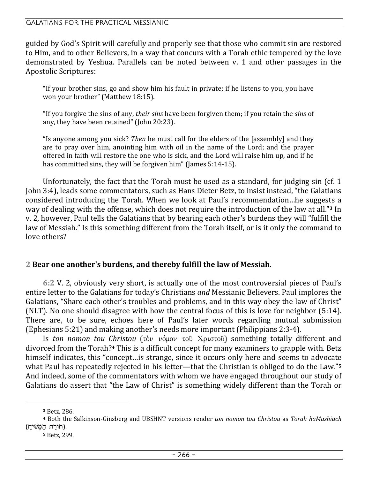#### GALATIANS FOR THE PRACTICAL MESSIANIC

guided by God's Spirit will carefully and properly see that those who commit sin are restored to Him, and to other Believers, in a way that concurs with a Torah ethic tempered by the love demonstrated by Yeshua. Parallels can be noted between v. 1 and other passages in the Apostolic Scriptures:

"If your brother sins, go and show him his fault in private; if he listens to you, you have won your brother" (Matthew 18:15).

"If you forgive the sins of any, *their sins* have been forgiven them; if you retain the *sins* of any, they have been retained" (John 20:23).

"Is anyone among you sick? *Then* he must call for the elders of the [assembly] and they are to pray over him, anointing him with oil in the name of the Lord; and the prayer offered in faith will restore the one who is sick, and the Lord will raise him up, and if he has committed sins, they will be forgiven him" (James 5:14-15).

Unfortunately, the fact that the Torah must be used as a standard, for judging sin (cf. 1 John 3:4), leads some commentators, such as Hans Dieter Betz, to insist instead, "the Galatians considered introducing the Torah. When we look at Paul's recommendation…he suggests a way of dealing with the offense, which does not require the introduction of the law at all."**3** In v. 2, however, Paul tells the Galatians that by bearing each other's burdens they will "fulfill the law of Messiah." Is this something different from the Torah itself, or is it only the command to love others?

#### **2 Bear one another's burdens, and thereby fulfill the law of Messiah.**

**6:2** V. 2, obviously very short, is actually one of the most controversial pieces of Paul's entire letter to the Galatians for today's Christians *and* Messianic Believers. Paul implores the Galatians, "Share each other's troubles and problems, and in this way obey the law of Christ" (NLT). No one should disagree with how the central focus of this is love for neighbor (5:14). There are, to be sure, echoes here of Paul's later words regarding mutual submission (Ephesians 5:21) and making another's needs more important (Philippians 2:3-4).

Is *ton nomon tou Christou* (τὸν νόμον τοῦ Χριστοῦ) something totally different and divorced from the Torah?**4** This is a difficult concept for many examiners to grapple with. Betz himself indicates, this "concept…is strange, since it occurs only here and seems to advocate what Paul has repeatedly rejected in his letter—that the Christian is obliged to do the Law."**<sup>5</sup>** And indeed, some of the commentators with whom we have engaged throughout our study of Galatians do assert that "the Law of Christ" is something widely different than the Torah or

**<sup>3</sup>** Betz, 286.

**<sup>4</sup>** Both the Salkinson-Ginsberg and UBSHNT versions render *ton nomon tou Christou* as *Torah haMashiach* (תּוֹרת המֹשׁיח).

**<sup>5</sup>** Betz, 299.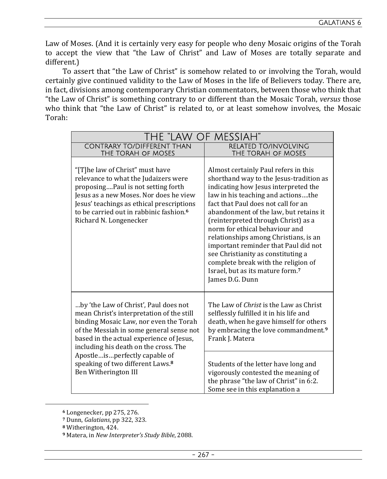Law of Moses. (And it is certainly very easy for people who deny Mosaic origins of the Torah to accept the view that "the Law of Christ" and Law of Moses are totally separate and different.)

To assert that "the Law of Christ" is somehow related to or involving the Torah, would certainly give continued validity to the Law of Moses in the life of Believers today. There are, in fact, divisions among contemporary Christian commentators, between those who think that "the Law of Christ" is something contrary to or different than the Mosaic Torah, *versus* those who think that "the Law of Christ" is related to, or at least somehow involves, the Mosaic Torah:

| THE "LAW OF MESSIAH"                                                                                                                                                                                                                                                                                                                                                   |                                                                                                                                                                                                                                                                                                                                                                                                                                                                                                                                                          |
|------------------------------------------------------------------------------------------------------------------------------------------------------------------------------------------------------------------------------------------------------------------------------------------------------------------------------------------------------------------------|----------------------------------------------------------------------------------------------------------------------------------------------------------------------------------------------------------------------------------------------------------------------------------------------------------------------------------------------------------------------------------------------------------------------------------------------------------------------------------------------------------------------------------------------------------|
| <b>CONTRARY TO/DIFFERENT THAN</b><br>THE TORAH OF MOSES                                                                                                                                                                                                                                                                                                                | <b>RELATED TO/INVOLVING</b><br>THE TORAH OF MOSES                                                                                                                                                                                                                                                                                                                                                                                                                                                                                                        |
| "[T]he law of Christ" must have<br>relevance to what the Judaizers were<br>proposingPaul is not setting forth<br>Jesus as a new Moses. Nor does he view<br>Jesus' teachings as ethical prescriptions<br>to be carried out in rabbinic fashion. <sup>6</sup><br>Richard N. Longenecker                                                                                  | Almost certainly Paul refers in this<br>shorthand way to the Jesus-tradition as<br>indicating how Jesus interpreted the<br>law in his teaching and actionsthe<br>fact that Paul does not call for an<br>abandonment of the law, but retains it<br>(reinterpreted through Christ) as a<br>norm for ethical behaviour and<br>relationships among Christians, is an<br>important reminder that Paul did not<br>see Christianity as constituting a<br>complete break with the religion of<br>Israel, but as its mature form. <sup>7</sup><br>James D.G. Dunn |
| by 'the Law of Christ', Paul does not<br>mean Christ's interpretation of the still<br>binding Mosaic Law, nor even the Torah<br>of the Messiah in some general sense not<br>based in the actual experience of Jesus,<br>including his death on the cross. The<br>Apostleisperfectly capable of<br>speaking of two different Laws. <sup>8</sup><br>Ben Witherington III | The Law of <i>Christ</i> is the Law as Christ<br>selflessly fulfilled it in his life and<br>death, when he gave himself for others<br>by embracing the love commandment. <sup>9</sup><br>Frank J. Matera                                                                                                                                                                                                                                                                                                                                                 |
|                                                                                                                                                                                                                                                                                                                                                                        | Students of the letter have long and<br>vigorously contested the meaning of<br>the phrase "the law of Christ" in 6:2.<br>Some see in this explanation a                                                                                                                                                                                                                                                                                                                                                                                                  |

**<sup>6</sup>** Longenecker, pp 275, 276.

**<sup>7</sup>** Dunn, *Galatians*, pp 322, 323.

**<sup>8</sup>** Witherington, 424.

**<sup>9</sup>** Matera, in *New Interpreter's Study Bible*, 2088.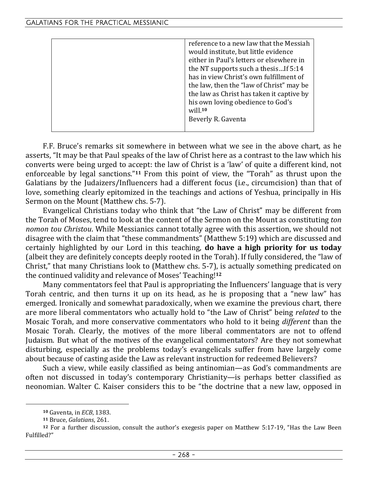| reference to a new law that the Messiah   |
|-------------------------------------------|
| would institute, but little evidence      |
| either in Paul's letters or elsewhere in  |
| the NT supports such a thesisIf 5:14      |
| has in view Christ's own fulfillment of   |
| the law, then the "law of Christ" may be  |
| the law as Christ has taken it captive by |
| his own loving obedience to God's         |
| will. <sup>10</sup>                       |
| Beverly R. Gaventa                        |
|                                           |

F.F. Bruce's remarks sit somewhere in between what we see in the above chart, as he asserts, "It may be that Paul speaks of the law of Christ here as a contrast to the law which his converts were being urged to accept: the law of Christ is a 'law' of quite a different kind, not enforceable by legal sanctions."**11** From this point of view, the "Torah" as thrust upon the Galatians by the Judaizers/Influencers had a different focus (i.e., circumcision) than that of love, something clearly epitomized in the teachings and actions of Yeshua, principally in His Sermon on the Mount (Matthew chs. 5-7).

Evangelical Christians today who think that "the Law of Christ" may be different from the Torah of Moses, tend to look at the content of the Sermon on the Mount as constituting *ton nomon tou Christou*. While Messianics cannot totally agree with this assertion, we should not disagree with the claim that "these commandments" (Matthew 5:19) which are discussed and certainly highlighted by our Lord in this teaching, **do have a high priority for us today** (albeit they are definitely concepts deeply rooted in the Torah). If fully considered, the "law of Christ," that many Christians look to (Matthew chs. 5-7), is actually something predicated on the continued validity and relevance of Moses' Teaching!**<sup>12</sup>**

Many commentators feel that Paul is appropriating the Influencers' language that is very Torah centric, and then turns it up on its head, as he is proposing that a "new law" has emerged. Ironically and somewhat paradoxically, when we examine the previous chart, there are more liberal commentators who actually hold to "the Law of Christ" being *related* to the Mosaic Torah, and more conservative commentators who hold to it being *different* than the Mosaic Torah. Clearly, the motives of the more liberal commentators are not to offend Judaism. But what of the motives of the evangelical commentators? Are they not somewhat disturbing, especially as the problems today's evangelicals suffer from have largely come about because of casting aside the Law as relevant instruction for redeemed Believers?

Such a view, while easily classified as being antinomian—as God's commandments are often not discussed in today's contemporary Christianity—is perhaps better classified as neonomian. Walter C. Kaiser considers this to be "the doctrine that a new law, opposed in

**<sup>10</sup>** Gaventa, in *ECB*, 1383.

**<sup>11</sup>** Bruce, *Galatians*, 261.

**<sup>12</sup>** For a further discussion, consult the author's exegesis paper on Matthew 5:17-19, "Has the Law Been Fulfilled?"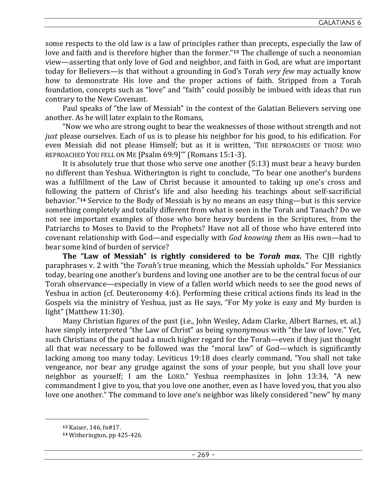some respects to the old law is a law of principles rather than precepts, especially the law of love and faith and is therefore higher than the former."**13** The challenge of such a neonomian view—asserting that only love of God and neighbor, and faith in God, are what are important today for Believers—is that without a grounding in God's Torah *very few* may actually know how to demonstrate His love and the proper actions of faith. Stripped from a Torah foundation, concepts such as "love" and "faith" could possibly be imbued with ideas that run contrary to the New Covenant.

Paul speaks of "the law of Messiah" in the context of the Galatian Believers serving one another. As he will later explain to the Romans,

"Now we who are strong ought to bear the weaknesses of those without strength and not *just* please ourselves. Each of us is to please his neighbor for his good, to his edification. For even Messiah did not please Himself; but as it is written, 'THE REPROACHES OF THOSE WHO REPROACHED YOU FELL ON ME [Psalm 69:9]'" (Romans 15:1-3).

It is absolutely true that those who serve one another (5:13) must bear a heavy burden no different than Yeshua. Witherington is right to conclude, "To bear one another's burdens was a fulfillment of the Law of Christ because it amounted to taking up one's cross and following the pattern of Christ's life and also heeding his teachings about self-sacrificial behavior."**14** Service to the Body of Messiah is by no means an easy thing—but is this service something completely and totally different from what is seen in the Torah and Tanach? Do we not see important examples of those who bore heavy burdens in the Scriptures, from the Patriarchs to Moses to David to the Prophets? Have not all of those who have entered into covenant relationship with God—and especially with *God knowing them* as His own—had to bear some kind of burden of service?

**The "Law of Messiah" is rightly considered to be** *Torah max***.** The CJB rightly paraphrases v. 2 with "the *Torah's* true meaning, which the Messiah upholds." For Messianics today, bearing one another's burdens and loving one another are to be the central focus of our Torah observance—especially in view of a fallen world which needs to see the good news of Yeshua in action (cf. Deuteronomy 4:6). Performing these critical actions finds its lead in the Gospels via the ministry of Yeshua, just as He says, "For My yoke is easy and My burden is light" (Matthew 11:30).

Many Christian figures of the past (i.e., John Wesley, Adam Clarke, Albert Barnes, et. al.) have simply interpreted "the Law of Christ" as being synonymous with "the law of love." Yet, such Christians of the past had a much higher regard for the Torah—even if they just thought all that was necessary to be followed was the "moral law" of God—which is significantly lacking among too many today. Leviticus 19:18 does clearly command, "You shall not take vengeance, nor bear any grudge against the sons of your people, but you shall love your neighbor as yourself; I am the LORD." Yeshua reemphasizes in John 13:34, "A new commandment I give to you, that you love one another, even as I have loved you, that you also love one another." The command to love one's neighbor was likely considered "new" by many

**<sup>13</sup>** Kaiser, 146, fn#17.

**<sup>14</sup>** Witherington, pp 425-426.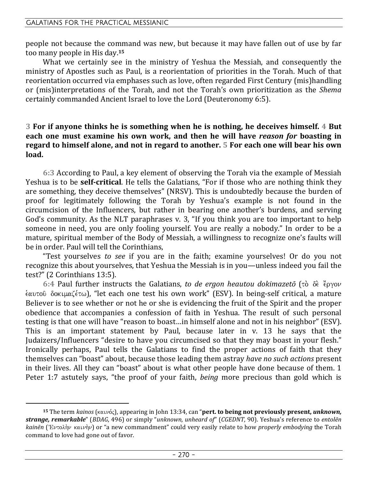people not because the command was new, but because it may have fallen out of use by far too many people in His day.**<sup>15</sup>**

What we certainly see in the ministry of Yeshua the Messiah, and consequently the ministry of Apostles such as Paul, is a reorientation of priorities in the Torah. Much of that reorientation occurred via emphases such as love, often regarded First Century (mis)handling or (mis)interpretations of the Torah, and not the Torah's own prioritization as the *Shema* certainly commanded Ancient Israel to love the Lord (Deuteronomy 6:5).

# **3 For if anyone thinks he is something when he is nothing, he deceives himself. 4 But each one must examine his own work, and then he will have** *reason for* **boasting in regard to himself alone, and not in regard to another. 5 For each one will bear his own load.**

**6:3** According to Paul, a key element of observing the Torah via the example of Messiah Yeshua is to be **self-critical**. He tells the Galatians, "For if those who are nothing think they are something, they deceive themselves" (NRSV). This is undoubtedly because the burden of proof for legitimately following the Torah by Yeshua's example is not found in the circumcision of the Influencers, but rather in bearing one another's burdens, and serving God's community. As the NLT paraphrases v. 3, "If you think you are too important to help someone in need, you are only fooling yourself. You are really a nobody." In order to be a mature, spiritual member of the Body of Messiah, a willingness to recognize one's faults will be in order. Paul will tell the Corinthians,

"Test yourselves *to see* if you are in the faith; examine yourselves! Or do you not recognize this about yourselves, that Yeshua the Messiah is in you—unless indeed you fail the test?" (2 Corinthians 13:5).

6:4 Paul further instructs the Galatians, *to de ergon heautou dokimazetō* (τὸ δè ἔργον έαυτοῦ δοκιμαζέτω), "let each one test his own work" (ESV). In being-self critical, a mature Believer is to see whether or not he or she is evidencing the fruit of the Spirit and the proper obedience that accompanies a confession of faith in Yeshua. The result of such personal testing is that one will have "reason to boast…in himself alone and not in his neighbor" (ESV). This is an important statement by Paul, because later in v. 13 he says that the Judaizers/Influencers "desire to have you circumcised so that they may boast in your flesh." Ironically perhaps, Paul tells the Galatians to find the proper actions of faith that they themselves can "boast" about, because those leading them astray *have no such actions* present in their lives. All they can "boast" about is what other people have done because of them. 1 Peter 1:7 astutely says, "the proof of your faith, *being* more precious than gold which is

**<sup>15</sup>** The term *kainos* (καινός), appearing in John 13:34, can "**pert. to being not previously present,** *unknown*, *strange, remarkable*" (*BDAG*, 496) or simply "*unknown, unheard of*" (*CGEDNT*, 90). Yeshua's reference to *entolēn kainēn* (Ἐντολὴν καινὴν) or "a new commandment" could very easily relate to how *properly embodying* the Torah command to love had gone out of favor.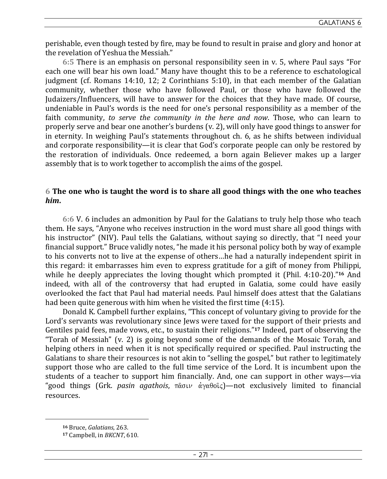perishable, even though tested by fire, may be found to result in praise and glory and honor at the revelation of Yeshua the Messiah."

**6:5** There is an emphasis on personal responsibility seen in v. 5, where Paul says "For each one will bear his own load." Many have thought this to be a reference to eschatological judgment (cf. Romans 14:10, 12; 2 Corinthians 5:10), in that each member of the Galatian community, whether those who have followed Paul, or those who have followed the Judaizers/Influencers, will have to answer for the choices that they have made. Of course, undeniable in Paul's words is the need for one's personal responsibility as a member of the faith community, *to serve the community in the here and now*. Those, who can learn to properly serve and bear one another's burdens (v. 2), will only have good things to answer for in eternity. In weighing Paul's statements throughout ch. 6, as he shifts between individual and corporate responsibility—it is clear that God's corporate people can only be restored by the restoration of individuals. Once redeemed, a born again Believer makes up a larger assembly that is to work together to accomplish the aims of the gospel.

# **6 The one who is taught the word is to share all good things with the one who teaches**  *him***.**

**6:6** V. 6 includes an admonition by Paul for the Galatians to truly help those who teach them. He says, "Anyone who receives instruction in the word must share all good things with his instructor" (NIV). Paul tells the Galatians, without saying so directly, that "I need your financial support." Bruce validly notes, "he made it his personal policy both by way of example to his converts not to live at the expense of others…he had a naturally independent spirit in this regard: it embarrasses him even to express gratitude for a gift of money from Philippi, while he deeply appreciates the loving thought which prompted it (Phil. 4:10-20)."**16** And indeed, with all of the controversy that had erupted in Galatia, some could have easily overlooked the fact that Paul had material needs. Paul himself does attest that the Galatians had been quite generous with him when he visited the first time (4:15).

Donald K. Campbell further explains, "This concept of voluntary giving to provide for the Lord's servants was revolutionary since Jews were taxed for the support of their priests and Gentiles paid fees, made vows, etc., to sustain their religions."**17** Indeed, part of observing the "Torah of Messiah" (v. 2) is going beyond some of the demands of the Mosaic Torah, and helping others in need when it is not specifically required or specified. Paul instructing the Galatians to share their resources is not akin to "selling the gospel," but rather to legitimately support those who are called to the full time service of the Lord. It is incumbent upon the students of a teacher to support him financially. And, one can support in other ways—via "good things (Grk. *pasin agathois*, πᾶσιν ἀγαθοῖς)—not exclusively limited to financial resources.

**<sup>16</sup>** Bruce, *Galatians*, 263.

**<sup>17</sup>** Campbell, in *BKCNT*, 610.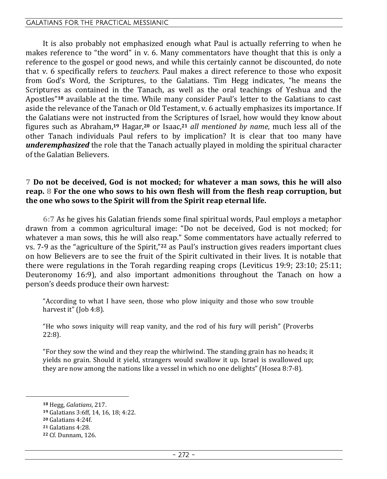#### GALATIANS FOR THE PRACTICAL MESSIANIC

It is also probably not emphasized enough what Paul is actually referring to when he makes reference to "the word" in v. 6. Many commentators have thought that this is only a reference to the gospel or good news, and while this certainly cannot be discounted, do note that v. 6 specifically refers to *teachers*. Paul makes a direct reference to those who exposit from God's Word, the Scriptures, to the Galatians. Tim Hegg indicates, "he means the Scriptures as contained in the Tanach, as well as the oral teachings of Yeshua and the Apostles"**18** available at the time. While many consider Paul's letter to the Galatians to cast aside the relevance of the Tanach or Old Testament, v. 6 actually emphasizes its importance. If the Galatians were not instructed from the Scriptures of Israel, how would they know about figures such as Abraham,**19** Hagar,**20** or Isaac,**<sup>21</sup>** *all mentioned by name*, much less all of the other Tanach individuals Paul refers to by implication? It is clear that too many have *underemphasized* the role that the Tanach actually played in molding the spiritual character of the Galatian Believers.

## **7 Do not be deceived, God is not mocked; for whatever a man sows, this he will also reap. 8 For the one who sows to his own flesh will from the flesh reap corruption, but the one who sows to the Spirit will from the Spirit reap eternal life.**

**6:7** As he gives his Galatian friends some final spiritual words, Paul employs a metaphor drawn from a common agricultural image: "Do not be deceived, God is not mocked; for whatever a man sows, this he will also reap." Some commentators have actually referred to vs. 7-9 as the "agriculture of the Spirit,"**22** as Paul's instruction gives readers important clues on how Believers are to see the fruit of the Spirit cultivated in their lives. It is notable that there were regulations in the Torah regarding reaping crops (Leviticus 19:9; 23:10; 25:11; Deuteronomy 16:9), and also important admonitions throughout the Tanach on how a person's deeds produce their own harvest:

"According to what I have seen, those who plow iniquity and those who sow trouble harvest it" (Job 4:8).

"He who sows iniquity will reap vanity, and the rod of his fury will perish" (Proverbs 22:8).

"For they sow the wind and they reap the whirlwind. The standing grain has no heads; it yields no grain. Should it yield, strangers would swallow it up. Israel is swallowed up; they are now among the nations like a vessel in which no one delights" (Hosea 8:7-8).

**<sup>18</sup>** Hegg, *Galatians*, 217.

**<sup>19</sup>** Galatians 3:6ff, 14, 16, 18; 4:22.

**<sup>20</sup>** Galatians 4:24f.

**<sup>21</sup>** Galatians 4:28.

**<sup>22</sup>** Cf. Dunnam, 126.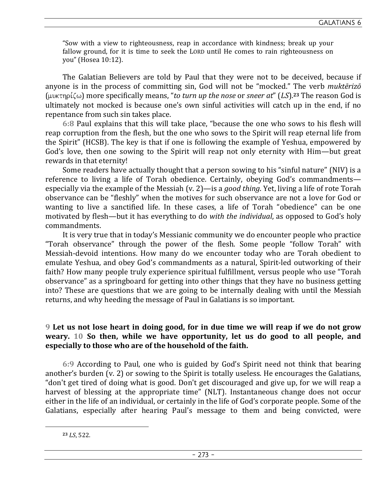"Sow with a view to righteousness, reap in accordance with kindness; break up your fallow ground, for it is time to seek the LORD until He comes to rain righteousness on you" (Hosea 10:12).

The Galatian Believers are told by Paul that they were not to be deceived, because if anyone is in the process of committing sin, God will not be "mocked." The verb *muktērizō*  $(\mu\nu\kappa \tau \eta \rho \zeta \omega)$  more specifically means, "*to turn up the nose* or *sneer at*" (*LS*).<sup>23</sup> The reason God is ultimately not mocked is because one's own sinful activities will catch up in the end, if no repentance from such sin takes place.

**6:8** Paul explains that this will take place, "because the one who sows to his flesh will reap corruption from the flesh, but the one who sows to the Spirit will reap eternal life from the Spirit" (HCSB). The key is that if one is following the example of Yeshua, empowered by God's love, then one sowing to the Spirit will reap not only eternity with Him—but great rewards in that eternity!

Some readers have actually thought that a person sowing to his "sinful nature" (NIV) is a reference to living a life of Torah obedience. Certainly, obeying God's commandments especially via the example of the Messiah (v. 2)—is a *good thing*. Yet, living a life of rote Torah observance can be "fleshly" when the motives for such observance are not a love for God or wanting to live a sanctified life. In these cases, a life of Torah "obedience" can be one motivated by flesh—but it has everything to do *with the individual*, as opposed to God's holy commandments.

It is very true that in today's Messianic community we do encounter people who practice "Torah observance" through the power of the flesh. Some people "follow Torah" with Messiah-devoid intentions. How many do we encounter today who are Torah obedient to emulate Yeshua, and obey God's commandments as a natural, Spirit-led outworking of their faith? How many people truly experience spiritual fulfillment, versus people who use "Torah observance" as a springboard for getting into other things that they have no business getting into? These are questions that we are going to be internally dealing with until the Messiah returns, and why heeding the message of Paul in Galatians is so important.

# **9 Let us not lose heart in doing good, for in due time we will reap if we do not grow weary. 10 So then, while we have opportunity, let us do good to all people, and especially to those who are of the household of the faith.**

**6:9** According to Paul, one who is guided by God's Spirit need not think that bearing another's burden (v. 2) or sowing to the Spirit is totally useless. He encourages the Galatians, "don't get tired of doing what is good. Don't get discouraged and give up, for we will reap a harvest of blessing at the appropriate time" (NLT). Instantaneous change does not occur either in the life of an individual, or certainly in the life of God's corporate people. Some of the Galatians, especially after hearing Paul's message to them and being convicted, were

**<sup>23</sup>** *LS*, 522.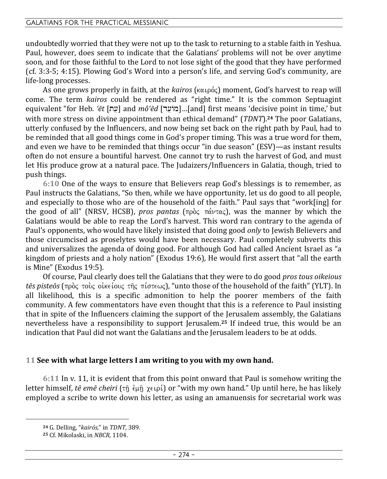#### GALATIANS FOR THE PRACTICAL MESSIANIC

undoubtedly worried that they were not up to the task to returning to a stable faith in Yeshua. Paul, however, does seem to indicate that the Galatians' problems will not be over anytime soon, and for those faithful to the Lord to not lose sight of the good that they have performed (cf. 3:3-5; 4:15). Plowing God's Word into a person's life, and serving God's community, are life-long processes.

As one grows properly in faith, at the *kairos* (καιρός) moment, God's harvest to reap will come. The term *kairos* could be rendered as "right time." It is the common Septuagint equivalent "for Heb. *'ēt* [t[e] and *mô'ēd* [d[eAm]…[and] first means 'decisive point in time,' but with more stress on divine appointment than ethical demand" (*TDNT*).**24** The poor Galatians, utterly confused by the Influencers, and now being set back on the right path by Paul, had to be reminded that all good things come in God's proper timing. This was a true word for them, and even we have to be reminded that things occur "in due season" (ESV)—as instant results often do not ensure a bountiful harvest. One cannot try to rush the harvest of God, and must let His produce grow at a natural pace. The Judaizers/Influencers in Galatia, though, tried to push things.

**6:10** One of the ways to ensure that Believers reap God's blessings is to remember, as Paul instructs the Galatians, "So then, while we have opportunity, let us do good to all people, and especially to those who are of the household of the faith." Paul says that "work[ing] for the good of all" (NRSV, HCSB), *pros pantas* ( $\pi \rho \dot{\rho}$ ,  $\pi \dot{\alpha} \nu \tau \alpha$ ;), was the manner by which the Galatians would be able to reap the Lord's harvest. This word ran contrary to the agenda of Paul's opponents, who would have likely insisted that doing good *only* to Jewish Believers and those circumcised as proselytes would have been necessary. Paul completely subverts this and universalizes the agenda of doing good. For although God had called Ancient Israel as "a kingdom of priests and a holy nation" (Exodus 19:6), He would first assert that "all the earth is Mine" (Exodus 19:5).

Of course, Paul clearly does tell the Galatians that they were to do good *pros tous oikeious tēs pisteōs* (πρὸς τοὺς οἰκείους τῆς πίστεως), "unto those of the household of the faith" (YLT). In all likelihood, this is a specific admonition to help the poorer members of the faith community. A few commentators have even thought that this is a reference to Paul insisting that in spite of the Influencers claiming the support of the Jerusalem assembly, the Galatians nevertheless have a responsibility to support Jerusalem.**25** If indeed true, this would be an indication that Paul did not want the Galatians and the Jerusalem leaders to be at odds.

## **11 See with what large letters I am writing to you with my own hand.**

**6:11** In v. 11, it is evident that from this point onward that Paul is somehow writing the letter himself, *tē emē cheiri* (τῆ ἐμῆ χειρί) or "with my own hand." Up until here, he has likely employed a scribe to write down his letter, as using an amanuensis for secretarial work was

**<sup>24</sup>** G. Delling, "*kairós*," in *TDNT*, 389.

**<sup>25</sup>** Cf. Mikolaski, in *NBCR*, 1104.